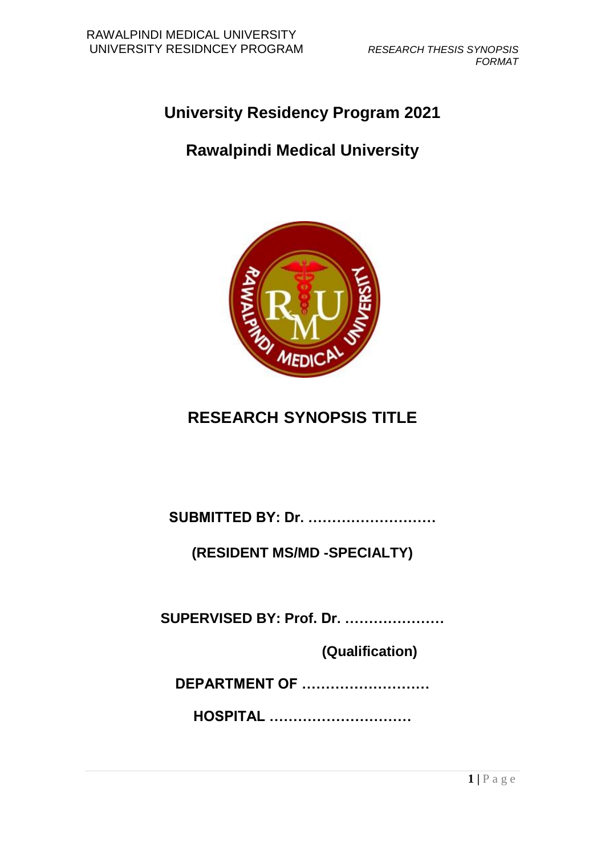# **University Residency Program 2021**

## **Rawalpindi Medical University**



## **RESEARCH SYNOPSIS TITLE**

**SUBMITTED BY: Dr. ………………………**

**(RESIDENT MS/MD -SPECIALTY)**

**SUPERVISED BY: Prof. Dr. …………………**

 **(Qualification)**

**DEPARTMENT OF ………………………**

**HOSPITAL …………………………**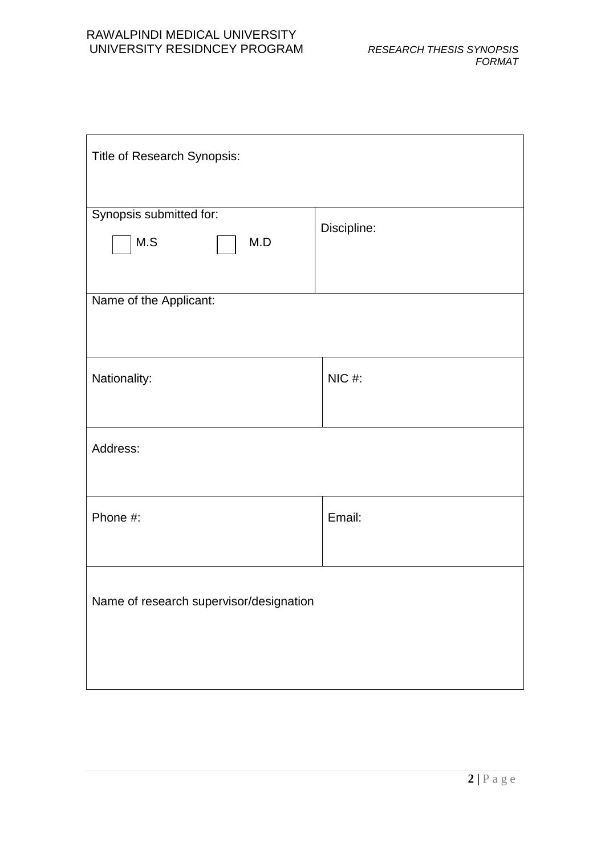| Title of Research Synopsis:             |             |  |  |  |
|-----------------------------------------|-------------|--|--|--|
| Synopsis submitted for:<br>M.S<br>M.D   | Discipline: |  |  |  |
| Name of the Applicant:                  |             |  |  |  |
| Nationality:                            | $NIC$ #:    |  |  |  |
| Address:                                |             |  |  |  |
| Phone #:                                | Email:      |  |  |  |
| Name of research supervisor/designation |             |  |  |  |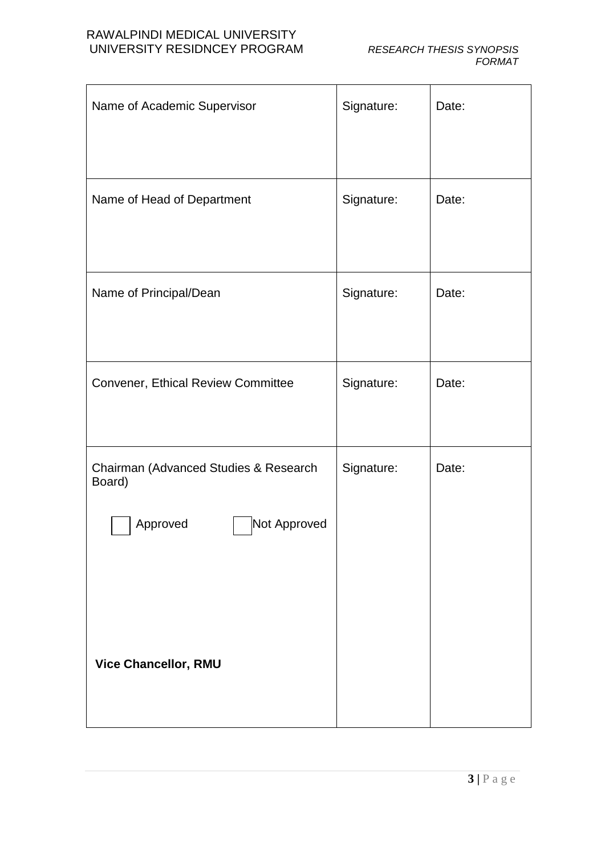| Name of Academic Supervisor                                                 | Signature: | Date: |
|-----------------------------------------------------------------------------|------------|-------|
| Name of Head of Department                                                  | Signature: | Date: |
| Name of Principal/Dean                                                      | Signature: | Date: |
| Convener, Ethical Review Committee                                          | Signature: | Date: |
| Chairman (Advanced Studies & Research<br>Board)<br>Approved<br>Not Approved | Signature: | Date: |
| <b>Vice Chancellor, RMU</b>                                                 |            |       |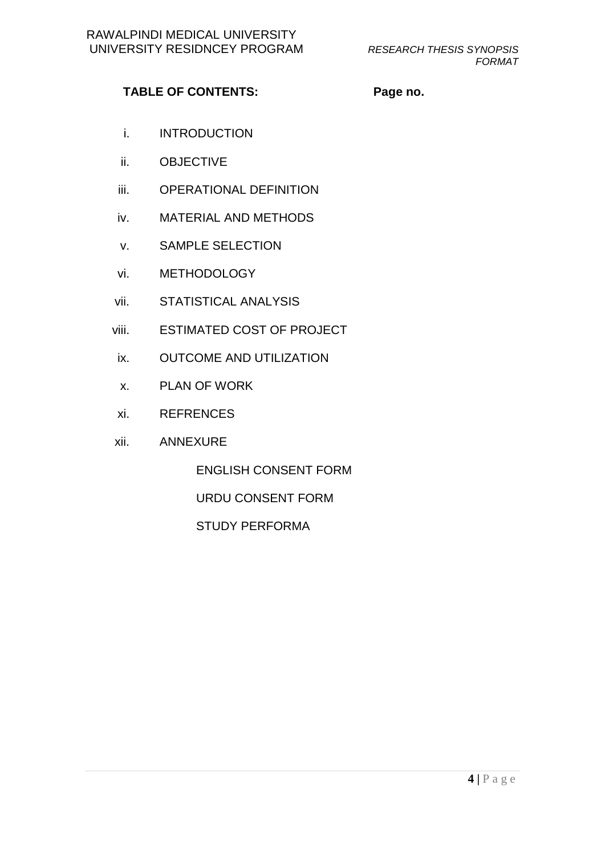#### TABLE OF CONTENTS: Page no.

- i. INTRODUCTION
- ii. OBJECTIVE
- iii. OPERATIONAL DEFINITION
- iv. MATERIAL AND METHODS
- v. SAMPLE SELECTION
- vi. METHODOLOGY
- vii. STATISTICAL ANALYSIS
- viii. ESTIMATED COST OF PROJECT
- ix. OUTCOME AND UTILIZATION
- x. PLAN OF WORK
- xi. REFRENCES
- xii. ANNEXURE

ENGLISH CONSENT FORM

URDU CONSENT FORM

STUDY PERFORMA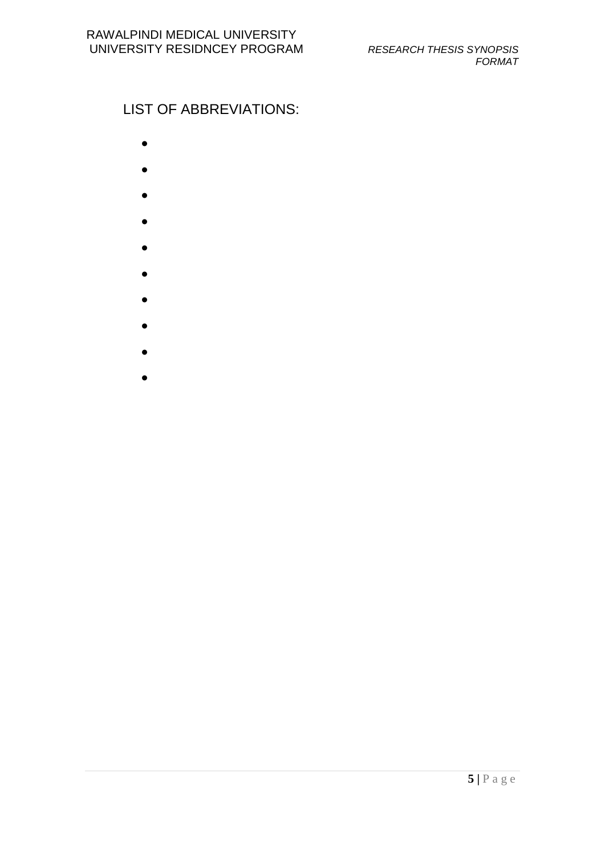## LIST OF ABBREVIATIONS:

- 
- $\bullet$
- 
- $\bullet$
- $\bullet$
- 
- $\bullet$
- $\bullet$
- $\bullet$
- $\bullet$
- $\bullet$
- 
- $\bullet$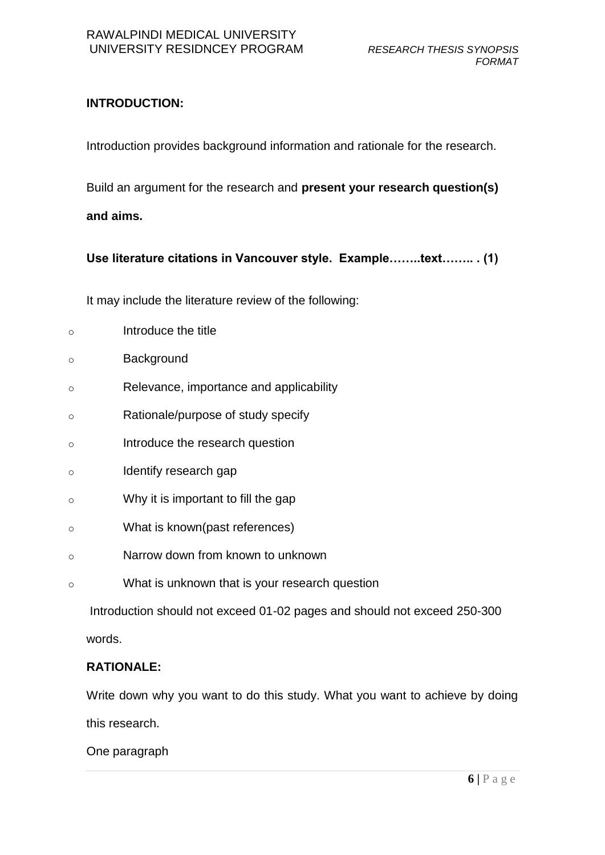### **INTRODUCTION:**

Introduction provides background information and rationale for the research.

Build an argument for the research and **present your research question(s) and aims.**

**Use literature citations in Vancouver style. Example……..text…….. . (1)**

It may include the literature review of the following:

| $\circ$ | Introduce the title                            |
|---------|------------------------------------------------|
| $\circ$ | Background                                     |
| $\circ$ | Relevance, importance and applicability        |
| $\circ$ | Rationale/purpose of study specify             |
| $\circ$ | Introduce the research question                |
| $\circ$ | Identify research gap                          |
| $\circ$ | Why it is important to fill the gap            |
| $\circ$ | What is known(past references)                 |
| $\circ$ | Narrow down from known to unknown              |
| $\circ$ | What is unknown that is your research question |
|         |                                                |

Introduction should not exceed 01-02 pages and should not exceed 250-300

words.

#### **RATIONALE:**

Write down why you want to do this study. What you want to achieve by doing this research.

One paragraph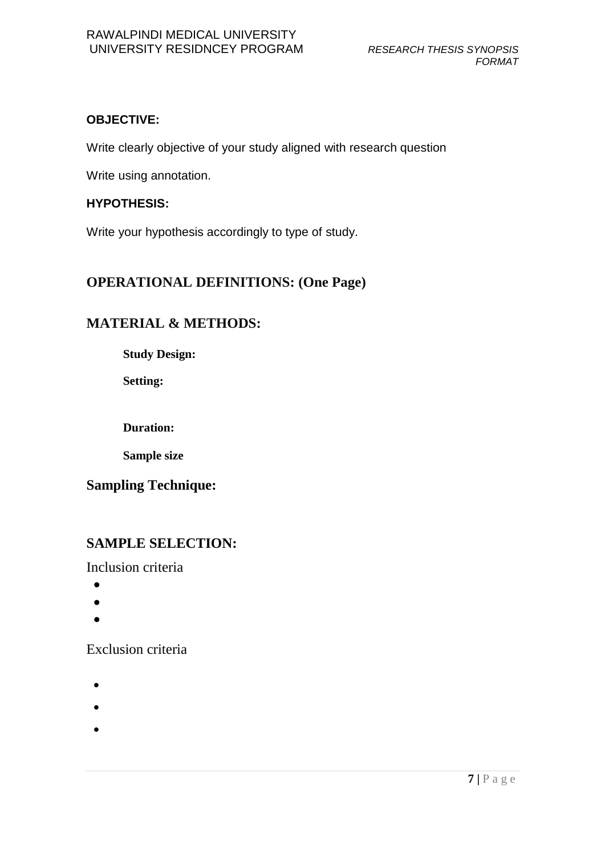#### **OBJECTIVE:**

Write clearly objective of your study aligned with research question

Write using annotation.

#### **HYPOTHESIS:**

Write your hypothesis accordingly to type of study.

### **OPERATIONAL DEFINITIONS: (One Page)**

#### **MATERIAL & METHODS:**

**Study Design:**

**Setting:**

**Duration:**

**Sample size**

## **Sampling Technique:**

#### **SAMPLE SELECTION:**

Inclusion criteria

- $\bullet$
- $\bullet$
- $\bullet$

Exclusion criteria

- $\bullet$
- $\bullet$
- 
- $\bullet$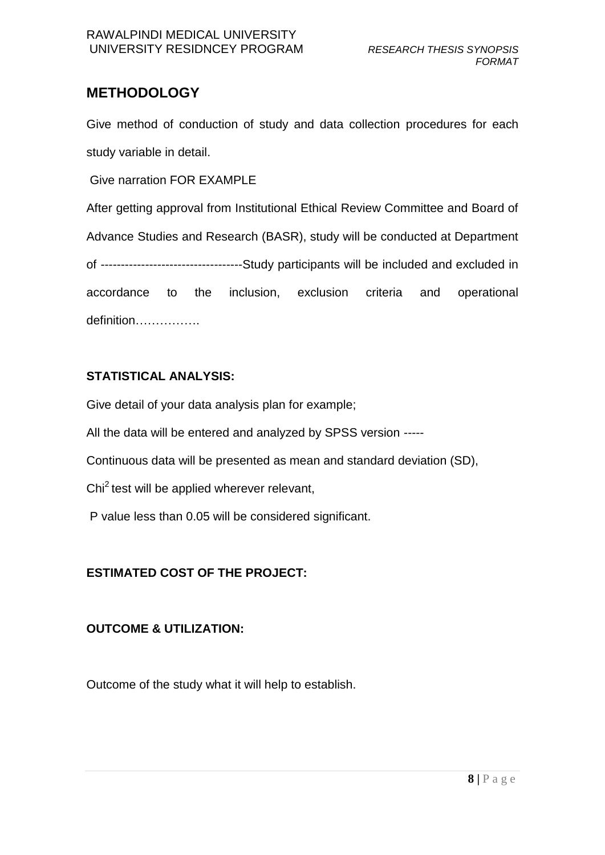### **METHODOLOGY**

Give method of conduction of study and data collection procedures for each study variable in detail.

Give narration FOR EXAMPLE

After getting approval from Institutional Ethical Review Committee and Board of Advance Studies and Research (BASR), study will be conducted at Department of -----------------------------------Study participants will be included and excluded in accordance to the inclusion, exclusion criteria and operational definition…………….

#### **STATISTICAL ANALYSIS:**

Give detail of your data analysis plan for example;

All the data will be entered and analyzed by SPSS version -----

Continuous data will be presented as mean and standard deviation (SD),

Chi $2$  test will be applied wherever relevant,

P value less than 0.05 will be considered significant.

### **ESTIMATED COST OF THE PROJECT:**

#### **OUTCOME & UTILIZATION:**

Outcome of the study what it will help to establish.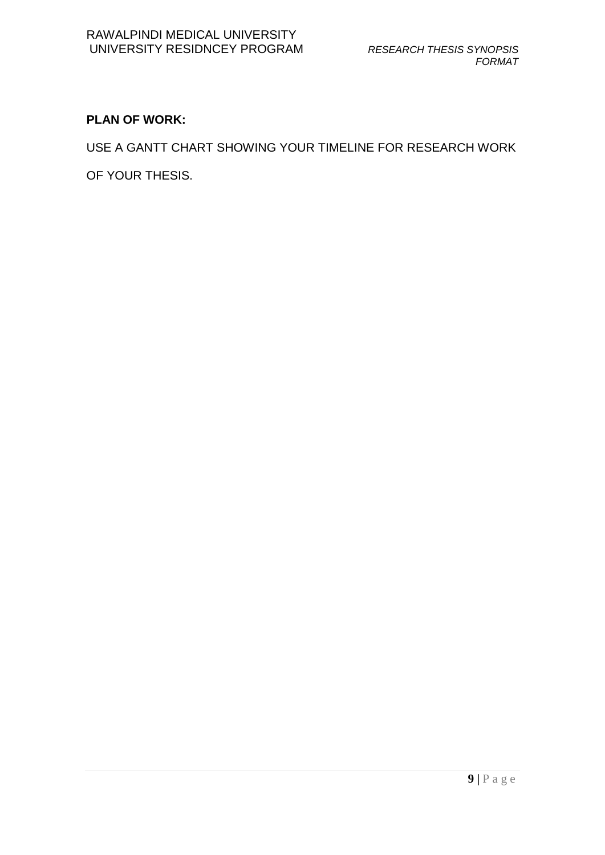## **PLAN OF WORK:**

USE A GANTT CHART SHOWING YOUR TIMELINE FOR RESEARCH WORK

OF YOUR THESIS.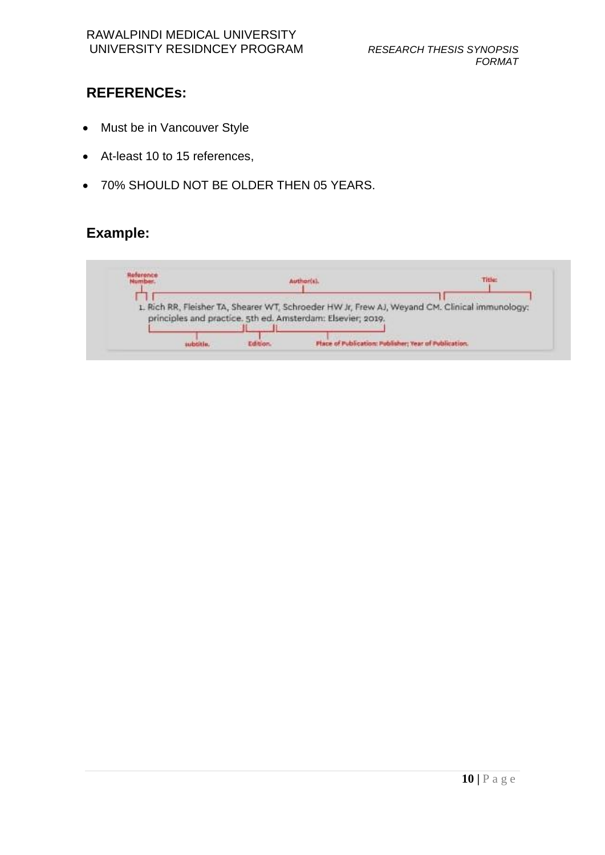## **REFERENCEs:**

- Must be in Vancouver Style
- At-least 10 to 15 references,
- 70% SHOULD NOT BE OLDER THEN 05 YEARS.

## **Example:**

| Reference<br>Number. |  | <b>Author(s)</b>                                            | Titlet                                                                                         |
|----------------------|--|-------------------------------------------------------------|------------------------------------------------------------------------------------------------|
|                      |  |                                                             |                                                                                                |
|                      |  |                                                             |                                                                                                |
|                      |  |                                                             |                                                                                                |
|                      |  |                                                             | 1. Rich RR, Fleisher TA, Shearer WT, Schroeder HW Jr, Frew AJ, Weyand CM. Clinical immunology: |
|                      |  | principles and practice. 5th ed. Amsterdam: Elsevier, 2019. |                                                                                                |
|                      |  |                                                             |                                                                                                |
|                      |  |                                                             |                                                                                                |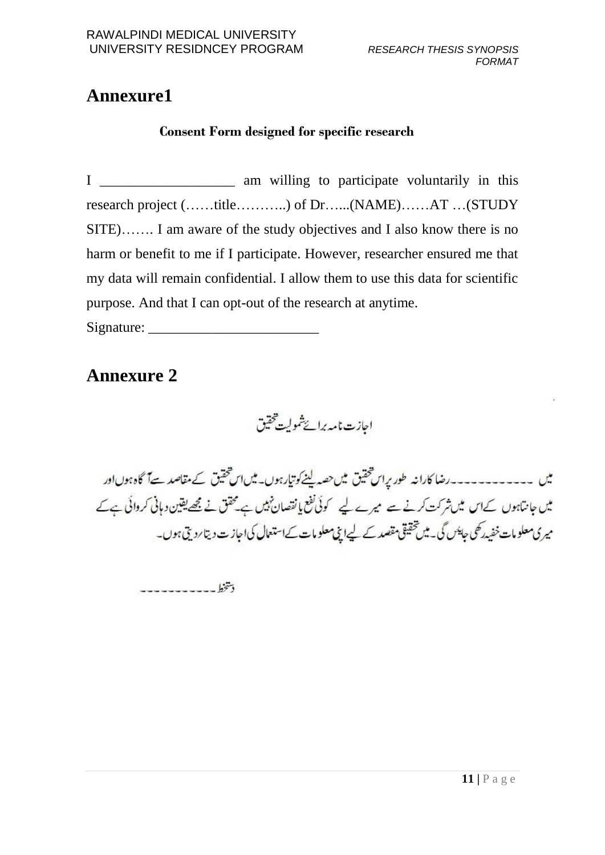# **Annexure1**

### **Consent Form designed for specific research**

I \_\_\_\_\_\_\_\_\_\_\_\_\_\_\_\_\_\_\_\_\_\_ am willing to participate voluntarily in this research project (……title………..) of Dr…...(NAME)……AT …(STUDY SITE)……. I am aware of the study objectives and I also know there is no harm or benefit to me if I participate. However, researcher ensured me that my data will remain confidential. I allow them to use this data for scientific purpose. And that I can opt-out of the research at anytime.

Signature: \_\_\_\_\_\_\_\_\_\_\_\_\_\_\_\_\_\_\_\_\_\_\_\_

## **Annexure 2**

احازت نامه برائےشمولیت حقیق

میں ۔۔۔۔۔۔۔۔۔۔۔رضا کارانہ طور پراس تحقیق میں حصہ لینے کوتیارہوں۔میں اس تحقیق کے مقاصد ہےآ گاہ ہوں اور میں جانتاہوں کےاس میں شرکت کرنے سے میرے لیے کوئی نفع یا نقصان نہیں ہے محقق نے مجھے یقین دہانی کروائی ہے کے میری معلومات خفیدرکھی جا<sup>پیس</sup> گی۔ میں تحقیقی مقصد کے لیےانچی معلومات کےاستعمال کی اجاز ت دیتا ردیتی ہوں۔

دىتخط -----------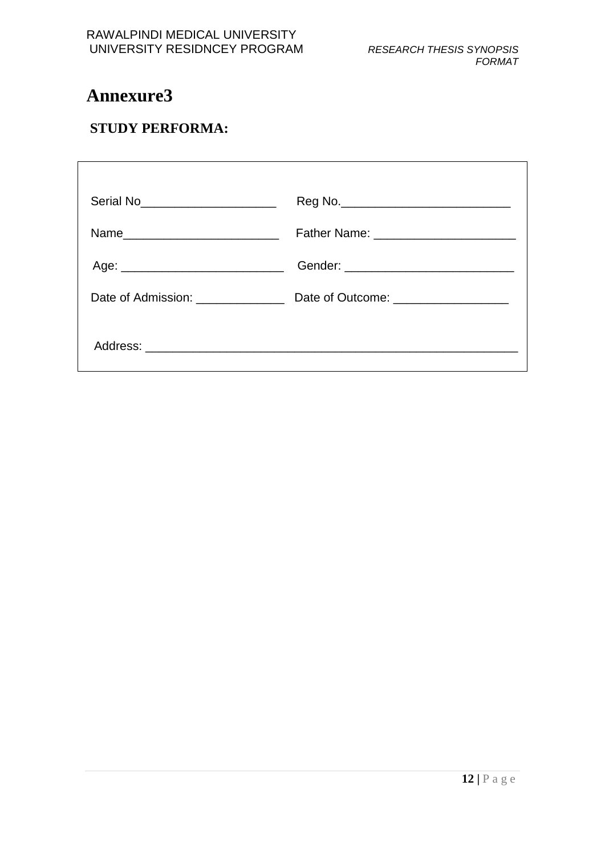# **Annexure3**

## **STUDY PERFORMA:**

| Serial No <sub>____________________________</sub> ______ |  |
|----------------------------------------------------------|--|
| Name_____________________________                        |  |
|                                                          |  |
|                                                          |  |
|                                                          |  |